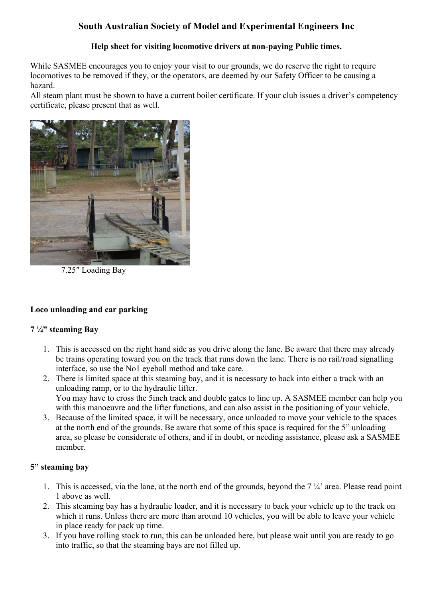# **South Australian Society of Model and Experimental Engineers Inc**

### **Help sheet for visiting locomotive drivers at non-paying Public times.**

While SASMEE encourages you to enjoy your visit to our grounds, we do reserve the right to require locomotives to be removed if they, or the operators, are deemed by our Safety Officer to be causing a hazard.

All steam plant must be shown to have a current boiler certificate. If your club issues a driver's competency certificate, please present that as well.



7.25″ Loading Bay

# **Loco unloading and car parking**

#### **7 ¼" steaming Bay**

- 1. This is accessed on the right hand side as you drive along the lane. Be aware that there may already be trains operating toward you on the track that runs down the lane. There is no rail/road signalling interface, so use the No1 eyeball method and take care.
- 2. There is limited space at this steaming bay, and it is necessary to back into either a track with an unloading ramp, or to the hydraulic lifter. You may have to cross the 5inch track and double gates to line up. A SASMEE member can help you with this manoeuvre and the lifter functions, and can also assist in the positioning of your vehicle.
- 3. Because of the limited space, it will be necessary, once unloaded to move your vehicle to the spaces at the north end of the grounds. Be aware that some of this space is required for the 5" unloading area, so please be considerate of others, and if in doubt, or needing assistance, please ask a SASMEE member.

# **5" steaming bay**

- 1. This is accessed, via the lane, at the north end of the grounds, beyond the  $7\frac{1}{4}$  area. Please read point 1 above as well.
- 2. This steaming bay has a hydraulic loader, and it is necessary to back your vehicle up to the track on which it runs. Unless there are more than around 10 vehicles, you will be able to leave your vehicle in place ready for pack up time.
- 3. If you have rolling stock to run, this can be unloaded here, but please wait until you are ready to go into traffic, so that the steaming bays are not filled up.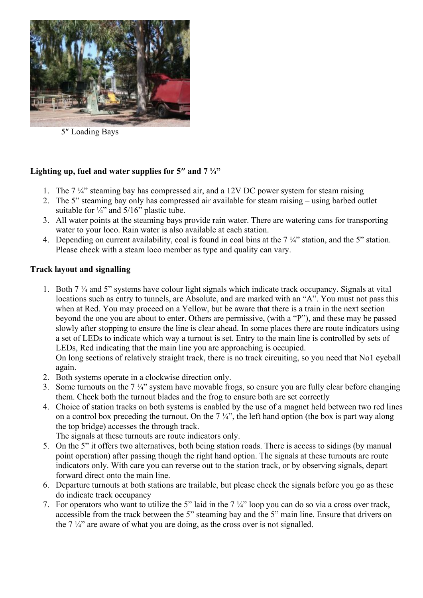

5″ Loading Bays

# **Lighting up, fuel and water supplies for 5″ and 7 ¼"**

- 1. The 7 ¼" steaming bay has compressed air, and a 12V DC power system for steam raising
- 2. The 5" steaming bay only has compressed air available for steam raising using barbed outlet suitable for  $\frac{1}{4}$ " and  $\frac{5}{16}$ " plastic tube.
- 3. All water points at the steaming bays provide rain water. There are watering cans for transporting water to your loco. Rain water is also available at each station.
- 4. Depending on current availability, coal is found in coal bins at the 7 ¼" station, and the 5" station. Please check with a steam loco member as type and quality can vary.

### **Track layout and signalling**

1. Both 7 ¼ and 5" systems have colour light signals which indicate track occupancy. Signals at vital locations such as entry to tunnels, are Absolute, and are marked with an "A". You must not pass this when at Red. You may proceed on a Yellow, but be aware that there is a train in the next section beyond the one you are about to enter. Others are permissive, (with a "P"), and these may be passed slowly after stopping to ensure the line is clear ahead. In some places there are route indicators using a set of LEDs to indicate which way a turnout is set. Entry to the main line is controlled by sets of LEDs, Red indicating that the main line you are approaching is occupied.

On long sections of relatively straight track, there is no track circuiting, so you need that No1 eyeball again.

- 2. Both systems operate in a clockwise direction only.
- 3. Some turnouts on the 7 ¼" system have movable frogs, so ensure you are fully clear before changing them. Check both the turnout blades and the frog to ensure both are set correctly
- 4. Choice of station tracks on both systems is enabled by the use of a magnet held between two red lines on a control box preceding the turnout. On the  $7\frac{1}{4}$ , the left hand option (the box is part way along the top bridge) accesses the through track.

The signals at these turnouts are route indicators only.

- 5. On the 5" it offers two alternatives, both being station roads. There is access to sidings (by manual point operation) after passing though the right hand option. The signals at these turnouts are route indicators only. With care you can reverse out to the station track, or by observing signals, depart forward direct onto the main line.
- 6. Departure turnouts at both stations are trailable, but please check the signals before you go as these do indicate track occupancy
- 7. For operators who want to utilize the 5" laid in the 7 ¼" loop you can do so via a cross over track, accessible from the track between the 5" steaming bay and the 5" main line. Ensure that drivers on the  $7\frac{1}{4}$  are aware of what you are doing, as the cross over is not signalled.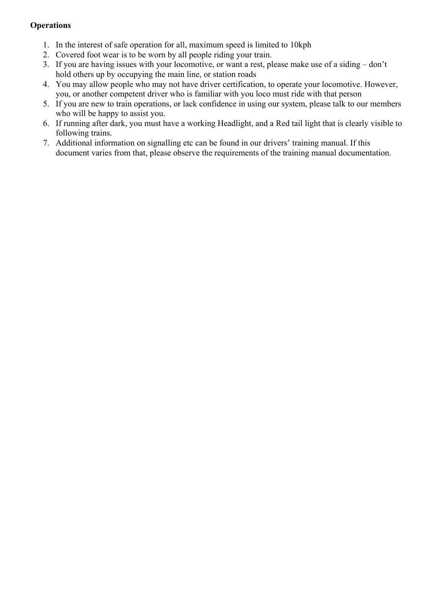### **Operations**

- 1. In the interest of safe operation for all, maximum speed is limited to 10kph
- 2. Covered foot wear is to be worn by all people riding your train.
- 3. If you are having issues with your locomotive, or want a rest, please make use of a siding don't hold others up by occupying the main line, or station roads
- 4. You may allow people who may not have driver certification, to operate your locomotive. However, you, or another competent driver who is familiar with you loco must ride with that person
- 5. If you are new to train operations, or lack confidence in using our system, please talk to our members who will be happy to assist you.
- 6. If running after dark, you must have a working Headlight, and a Red tail light that is clearly visible to following trains.
- 7. Additional information on signalling etc can be found in our drivers' training manual. If this document varies from that, please observe the requirements of the training manual documentation.